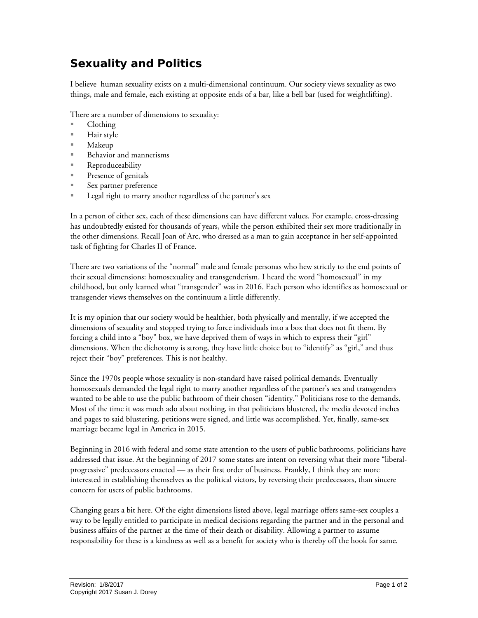## **Sexuality and Politics**

I believe human sexuality exists on a multi-dimensional continuum. Our society views sexuality as two things, male and female, each existing at opposite ends of a bar, like a bell bar (used for weightlifting).

There are a number of dimensions to sexuality:

- Clothing
- Hair style
- Makeup
- Behavior and mannerisms
- Reproduceability
- **Presence of genitals**
- Sex partner preference
- **Legal right to marry another regardless of the partner's sex**

In a person of either sex, each of these dimensions can have different values. For example, cross-dressing has undoubtedly existed for thousands of years, while the person exhibited their sex more traditionally in the other dimensions. Recall Joan of Arc, who dressed as a man to gain acceptance in her self-appointed task of fighting for Charles II of France.

There are two variations of the "normal" male and female personas who hew strictly to the end points of their sexual dimensions: homosexuality and transgenderism. I heard the word "homosexual" in my childhood, but only learned what "transgender" was in 2016. Each person who identifies as homosexual or transgender views themselves on the continuum a little differently.

It is my opinion that our society would be healthier, both physically and mentally, if we accepted the dimensions of sexuality and stopped trying to force individuals into a box that does not fit them. By forcing a child into a "boy" box, we have deprived them of ways in which to express their "girl" dimensions. When the dichotomy is strong, they have little choice but to "identify" as "girl," and thus reject their "boy" preferences. This is not healthy.

Since the 1970s people whose sexuality is non-standard have raised political demands. Eventually homosexuals demanded the legal right to marry another regardless of the partner's sex and transgenders wanted to be able to use the public bathroom of their chosen "identity." Politicians rose to the demands. Most of the time it was much ado about nothing, in that politicians blustered, the media devoted inches and pages to said blustering, petitions were signed, and little was accomplished. Yet, finally, same-sex marriage became legal in America in 2015.

Beginning in 2016 with federal and some state attention to the users of public bathrooms, politicians have addressed that issue. At the beginning of 2017 some states are intent on reversing what their more "liberalprogressive" predecessors enacted — as their first order of business. Frankly, I think they are more interested in establishing themselves as the political victors, by reversing their predecessors, than sincere concern for users of public bathrooms.

Changing gears a bit here. Of the eight dimensions listed above, legal marriage offers same-sex couples a way to be legally entitled to participate in medical decisions regarding the partner and in the personal and business affairs of the partner at the time of their death or disability. Allowing a partner to assume responsibility for these is a kindness as well as a benefit for society who is thereby off the hook for same.